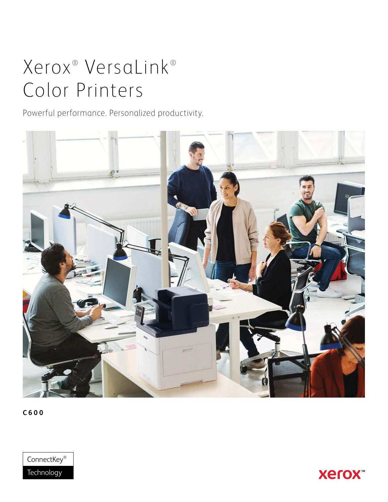# Xerox<sup>®</sup> VersaLink<sup>®</sup> Color Printers

Powerful performance. Personalized productivity.



**C600**



**Xerox**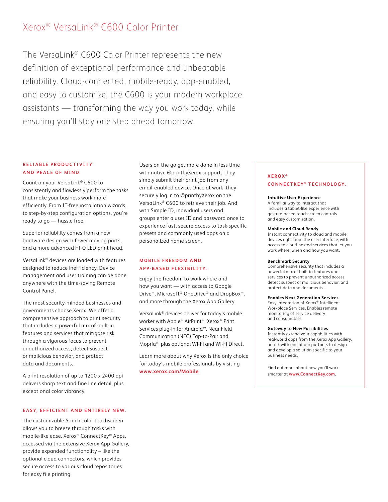# Xerox® VersaLink® C600 Color Printer

The VersaLink® C600 Color Printer represents the new definition of exceptional performance and unbeatable reliability. Cloud-connected, mobile-ready, app-enabled, and easy to customize, the C600 is your modern workplace assistants — transforming the way you work today, while ensuring you'll stay one step ahead tomorrow.

# **R E L I A B L E P R O D U C T I V I T Y AND PEACE OF MIND.**

Count on your VersaLink® C600 to consistently and flawlessly perform the tasks that make your business work more efficiently. From IT-free installation wizards, to step-by-step configuration options, you're ready to go — hassle free.

Superior reliability comes from a new hardware design with fewer moving parts, and a more advanced Hi-Q LED print head.

VersaLink® devices are loaded with features designed to reduce inefficiency. Device management and user training can be done anywhere with the time-saving Remote Control Panel.

The most security-minded businesses and governments choose Xerox. We offer a comprehensive approach to print security that includes a powerful mix of built-in features and services that mitigate risk through a vigorous focus to prevent unauthorized access, detect suspect or malicious behavior, and protect data and documents.

A print resolution of up to 1200 x 2400 dpi delivers sharp text and fine line detail, plus exceptional color vibrancy.

## **EASY, EFFICIENT AND ENTIRELY NEW.**

The customizable 5-inch color touchscreen allows you to breeze through tasks with mobile-like ease. Xerox® ConnectKey® Apps, accessed via the extensive Xerox App Gallery, provide expanded functionality – like the optional cloud connectors, which provides secure access to various cloud repositories for easy file printing.

Users on the go get more done in less time with native @printbyXerox support. They simply submit their print job from any email-enabled device. Once at work, they securely log in to @printbyXerox on the VersaLink® C600 to retrieve their job. And with Simple ID, individual users and groups enter a user ID and password once to experience fast, secure access to task-specific presets and commonly used apps on a personalized home screen.

## **M O B I L E F R E E D O M A N D APP-BASED FLEXIBILITY.**

Enjoy the freedom to work where and how you want — with access to Google Drive™, Microsoft® OneDrive® and DropBox™, and more through the Xerox App Gallery.

VersaLink® devices deliver for today's mobile worker with Apple® AirPrint®, Xerox® Print Services plug-in for Android™, Near Field Communication (NFC) Tap-to-Pair and Mopria®, plus optional Wi-Fi and Wi-Fi Direct.

Learn more about why Xerox is the only choice for today's mobile professionals by visiting **[www.xerox.com/Mobile](http://www.xerox.com/Mobile)**.

### **XEROX ® CONNECTKEY ® TECHNOLOGY.**

#### **Intuitive User Experience**

A familiar way to interact that includes a tablet-like experience with gesture-based touchscreen controls and easy customization.

#### **Mobile and Cloud Ready**

Instant connectivity to cloud and mobile devices right from the user interface, with access to cloud-hosted services that let you work where, when and how you want.

#### **Benchmark Security**

Comprehensive security that includes a powerful mix of built-in features and services to prevent unauthorized access, detect suspect or malicious behavior, and protect data and documents.

#### **Enables Next Generation Services**

Easy integration of Xerox® Intelligent Workplace Services. Enables remote monitoring of service delivery and consumables.

#### **Gateway to New Possibilities**

Instantly extend your capabilities with real-world apps from the Xerox App Gallery, or talk with one of our partners to design and develop a solution specific to your business needs.

Find out more about how you'll work smarter at **www.ConnectKey.com**.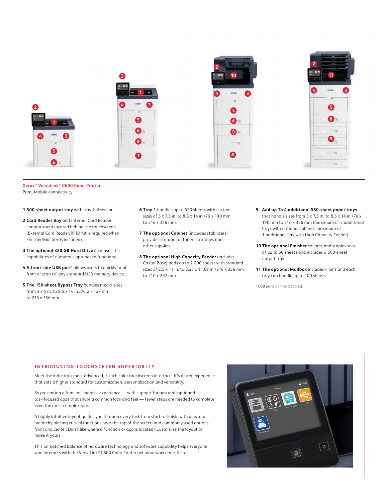

**Xerox® VersaLink® C600 Color Printer** Print. Mobile connectivity.

**1 500-sheet output tray** with tray-full sensor.

- **2 Card Reader Bay** and Internal Card Reader compartment located behind the touchscreen. (External Card Reader/RFID Kit is required when Finisher/Mailbox is included).
- **3 The optional 320 GB Hard Drive** increases the capabilities of numerous app-based functions.
- 4 A front-side USB port<sup>1</sup> allows users to quickly print from or scan to<sup>3</sup> any standard USB memory device.
- **5 The 150-sheet Bypass Tray** handles media sizes from 3 x 5 in. to 8.5 x 14 in./76.2 x 127 mm to 216 x 356 mm.
- **6 Tray 1** handles up to 550 sheets with custom sizes of 3 x 7.5 in. to 8.5 x 14 in./76 x 190 mm to 216 x 356 mm.
- **7 The optional Cabinet** (includes stabilizers) provides storage for toner cartridges and other supplies.
- **8 The optional High Capacity Feeder** (includes Caster Base) adds up to 2,000 sheets with standard sizes of 8.5 x 11 in. to 8.27 x 11.69 in./216 x 356 mm to 210 x 297 mm.
- **9 Add up To 4 additional 550-sheet paper trays** that handle sizes from 3 x 7.5 in. to 8.5 x 14 in./76 x 190 mm to 216 x 356 mm (maximum of 2 additional trays with optional cabinet, maximum of 1 additional tray with High Capacity Feeder).
- **10 The optional Finisher** collates and staples sets of up to 50 sheets and includes a 500-sheet output tray.
- **11 The optional Mailbox** includes 4 bins and each tray can handle up to 100 sheets.

1 USB ports can be disabled.

#### **INTRODUCING TOUCHSCREEN SUPERIORITY.**

Meet the industry's most advanced, 5-inch color touchscreen interface. It's a user experience that sets a higher standard for customization, personalization and versatility.

By presenting a familiar "mobile" experience — with support for gestural input and task-focused apps that share a common look and feel — fewer steps are needed to complete even the most complex jobs.

A highly intuitive layout guides you through every task from start to finish, with a natural hierarchy placing critical functions near the top of the screen and commonly used options front and center. Don't like where a function or app is located? Customize the layout to make it yours.

This unmatched balance of hardware technology and software capability helps everyone who interacts with the VersaLink® C600 Color Printer get more work done, faster.